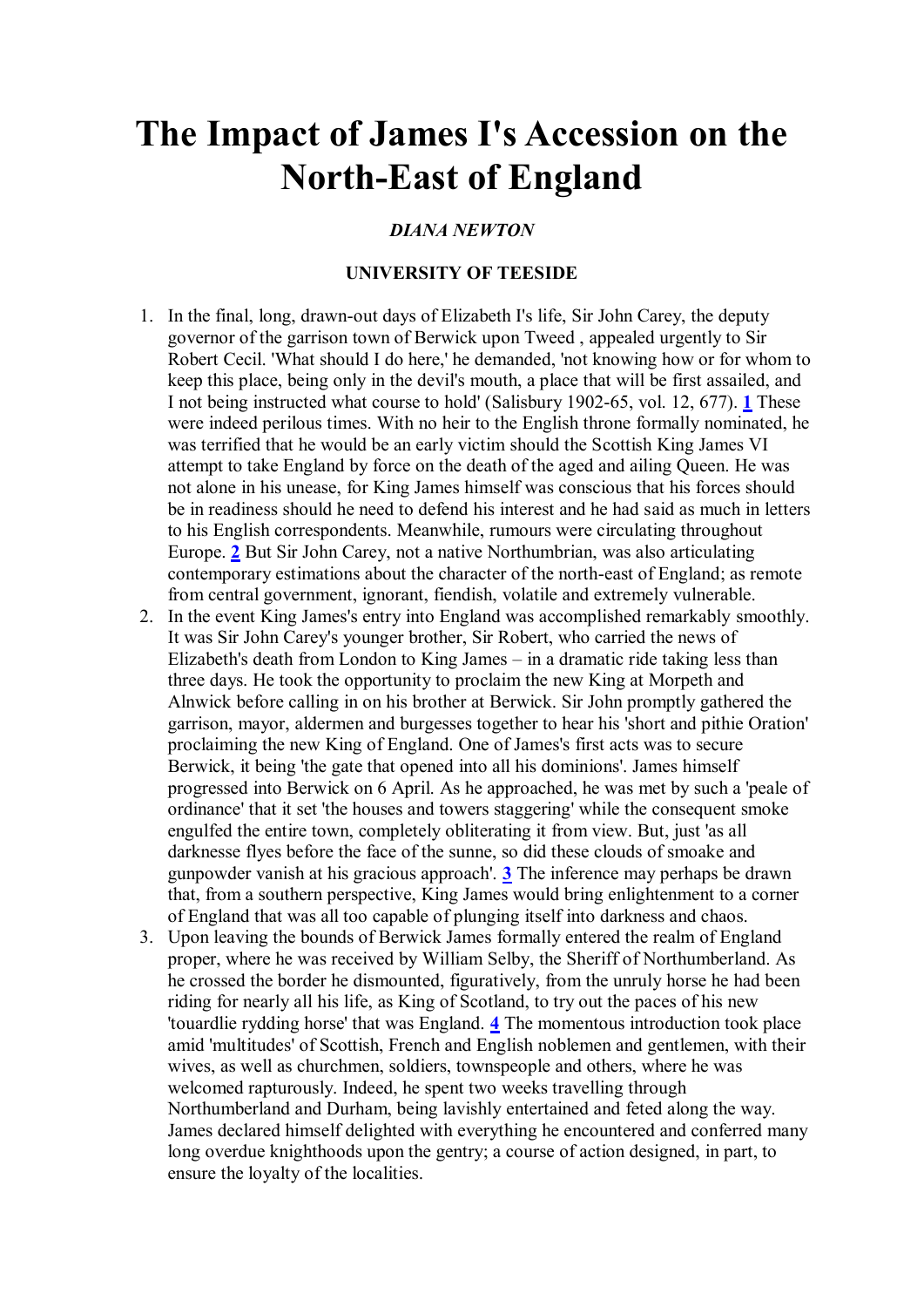# **The Impact of James I's Accession on the North-East of England**

#### *DIANA NEWTON*

#### **UNIVERSITY OF TEESIDE**

- 1. In the final, long, drawn-out days of Elizabeth I's life, Sir John Carey, the deputy governor of the garrison town of Berwick upon Tweed , appealed urgently to Sir Robert Cecil. 'What should I do here,' he demanded, 'not knowing how or for whom to keep this place, being only in the devil's mouth, a place that will be first assailed, and I not being instructed what course to hold' (Salisbury 1902-65, vol. 12, 677). **[1](http://www.hull.ac.uk/renforum/v7/newton.htm#n1)** These were indeed perilous times. With no heir to the English throne formally nominated, he was terrified that he would be an early victim should the Scottish King James VI attempt to take England by force on the death of the aged and ailing Queen. He was not alone in his unease, for King James himself was conscious that his forces should be in readiness should he need to defend his interest and he had said as much in letters to his English correspondents. Meanwhile, rumours were circulating throughout Europe. **[2](http://www.hull.ac.uk/renforum/v7/newton.htm#n2)** But Sir John Carey, not a native Northumbrian, was also articulating contemporary estimations about the character of the north-east of England; as remote from central government, ignorant, fiendish, volatile and extremely vulnerable.
- 2. In the event King James's entry into England was accomplished remarkably smoothly. It was Sir John Carey's younger brother, Sir Robert, who carried the news of Elizabeth's death from London to King James – in a dramatic ride taking less than three days. He took the opportunity to proclaim the new King at Morpeth and Alnwick before calling in on his brother at Berwick. Sir John promptly gathered the garrison, mayor, aldermen and burgesses together to hear his 'short and pithie Oration' proclaiming the new King of England. One of James's first acts was to secure Berwick, it being 'the gate that opened into all his dominions'. James himself progressed into Berwick on 6 April. As he approached, he was met by such a 'peale of ordinance' that it set 'the houses and towers staggering' while the consequent smoke engulfed the entire town, completely obliterating it from view. But, just 'as all darknesse flyes before the face of the sunne, so did these clouds of smoake and gunpowder vanish at his gracious approach'. **[3](http://www.hull.ac.uk/renforum/v7/newton.htm#n3)** The inference may perhaps be drawn that, from a southern perspective, King James would bring enlightenment to a corner of England that was all too capable of plunging itself into darkness and chaos.
- 3. Upon leaving the bounds of Berwick James formally entered the realm of England proper, where he was received by William Selby, the Sheriff of Northumberland. As he crossed the border he dismounted, figuratively, from the unruly horse he had been riding for nearly all his life, as King of Scotland, to try out the paces of his new 'touardlie rydding horse' that was England. **[4](http://www.hull.ac.uk/renforum/v7/newton.htm#n4)** The momentous introduction took place amid 'multitudes' of Scottish, French and English noblemen and gentlemen, with their wives, as well as churchmen, soldiers, townspeople and others, where he was welcomed rapturously. Indeed, he spent two weeks travelling through Northumberland and Durham, being lavishly entertained and feted along the way. James declared himself delighted with everything he encountered and conferred many long overdue knighthoods upon the gentry; a course of action designed, in part, to ensure the loyalty of the localities.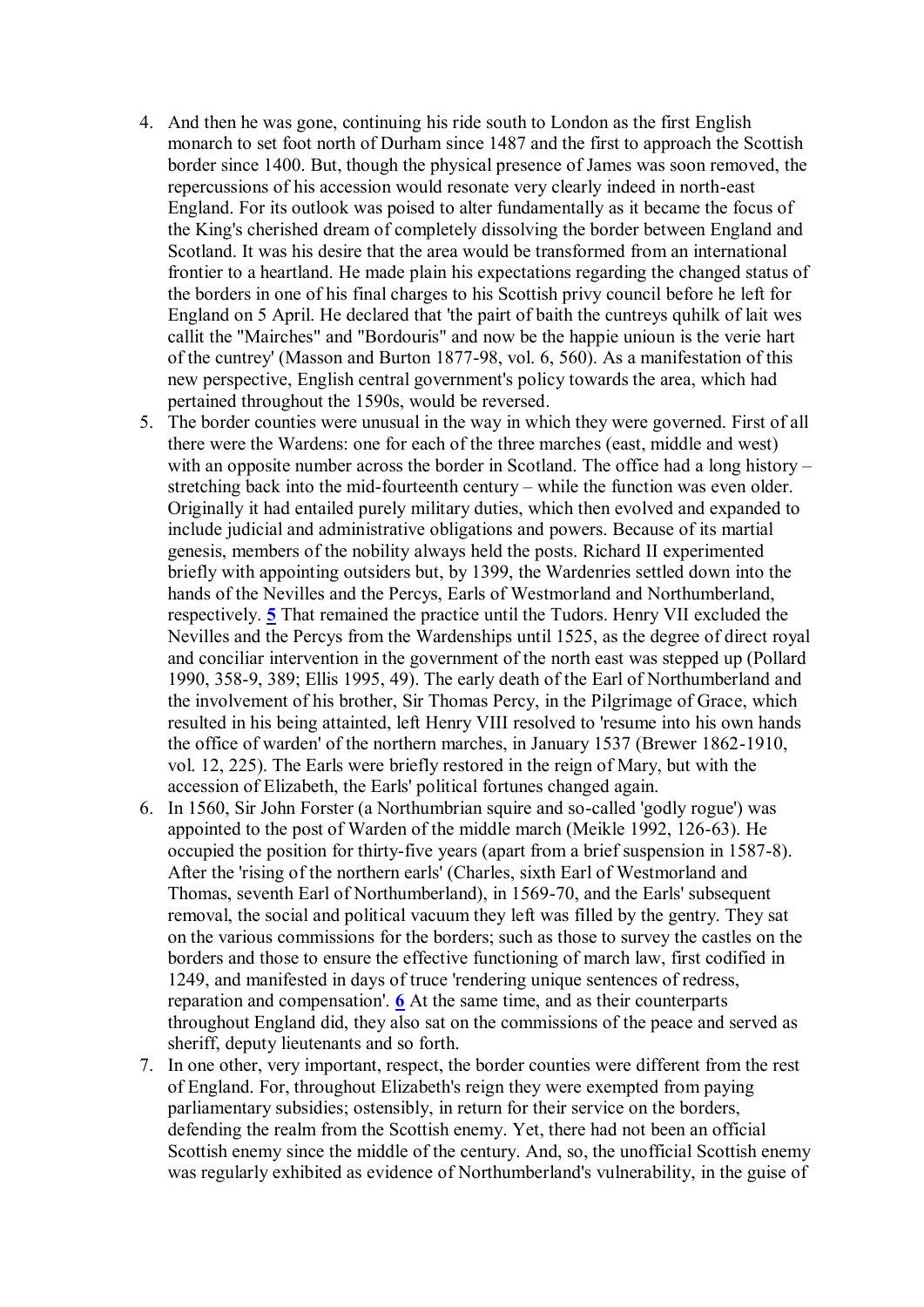- 4. And then he was gone, continuing his ride south to London as the first English monarch to set foot north of Durham since 1487 and the first to approach the Scottish border since 1400. But, though the physical presence of James was soon removed, the repercussions of his accession would resonate very clearly indeed in north-east England. For its outlook was poised to alter fundamentally as it became the focus of the King's cherished dream of completely dissolving the border between England and Scotland. It was his desire that the area would be transformed from an international frontier to a heartland. He made plain his expectations regarding the changed status of the borders in one of his final charges to his Scottish privy council before he left for England on 5 April. He declared that 'the pairt of baith the cuntreys quhilk of lait wes callit the "Mairches" and "Bordouris" and now be the happie unioun is the verie hart of the cuntrey' (Masson and Burton 1877-98, vol. 6, 560). As a manifestation of this new perspective, English central government's policy towards the area, which had pertained throughout the 1590s, would be reversed.
- 5. The border counties were unusual in the way in which they were governed. First of all there were the Wardens: one for each of the three marches (east, middle and west) with an opposite number across the border in Scotland. The office had a long history – stretching back into the mid-fourteenth century – while the function was even older. Originally it had entailed purely military duties, which then evolved and expanded to include judicial and administrative obligations and powers. Because of its martial genesis, members of the nobility always held the posts. Richard II experimented briefly with appointing outsiders but, by 1399, the Wardenries settled down into the hands of the Nevilles and the Percys, Earls of Westmorland and Northumberland, respectively. **[5](http://www.hull.ac.uk/renforum/v7/newton.htm#n5)** That remained the practice until the Tudors. Henry VII excluded the Nevilles and the Percys from the Wardenships until 1525, as the degree of direct royal and conciliar intervention in the government of the north east was stepped up (Pollard 1990, 358-9, 389; Ellis 1995, 49). The early death of the Earl of Northumberland and the involvement of his brother, Sir Thomas Percy, in the Pilgrimage of Grace, which resulted in his being attainted, left Henry VIII resolved to 'resume into his own hands the office of warden' of the northern marches, in January 1537 (Brewer 1862-1910, vol. 12, 225). The Earls were briefly restored in the reign of Mary, but with the accession of Elizabeth, the Earls' political fortunes changed again.
- 6. In 1560, Sir John Forster (a Northumbrian squire and so-called 'godly rogue') was appointed to the post of Warden of the middle march (Meikle 1992, 126-63). He occupied the position for thirty-five years (apart from a brief suspension in 1587-8). After the 'rising of the northern earls' (Charles, sixth Earl of Westmorland and Thomas, seventh Earl of Northumberland), in 1569-70, and the Earls' subsequent removal, the social and political vacuum they left was filled by the gentry. They sat on the various commissions for the borders; such as those to survey the castles on the borders and those to ensure the effective functioning of march law, first codified in 1249, and manifested in days of truce 'rendering unique sentences of redress, reparation and compensation'. **[6](http://www.hull.ac.uk/renforum/v7/newton.htm#n6)** At the same time, and as their counterparts throughout England did, they also sat on the commissions of the peace and served as sheriff, deputy lieutenants and so forth.
- 7. In one other, very important, respect, the border counties were different from the rest of England. For, throughout Elizabeth's reign they were exempted from paying parliamentary subsidies; ostensibly, in return for their service on the borders, defending the realm from the Scottish enemy. Yet, there had not been an official Scottish enemy since the middle of the century. And, so, the unofficial Scottish enemy was regularly exhibited as evidence of Northumberland's vulnerability, in the guise of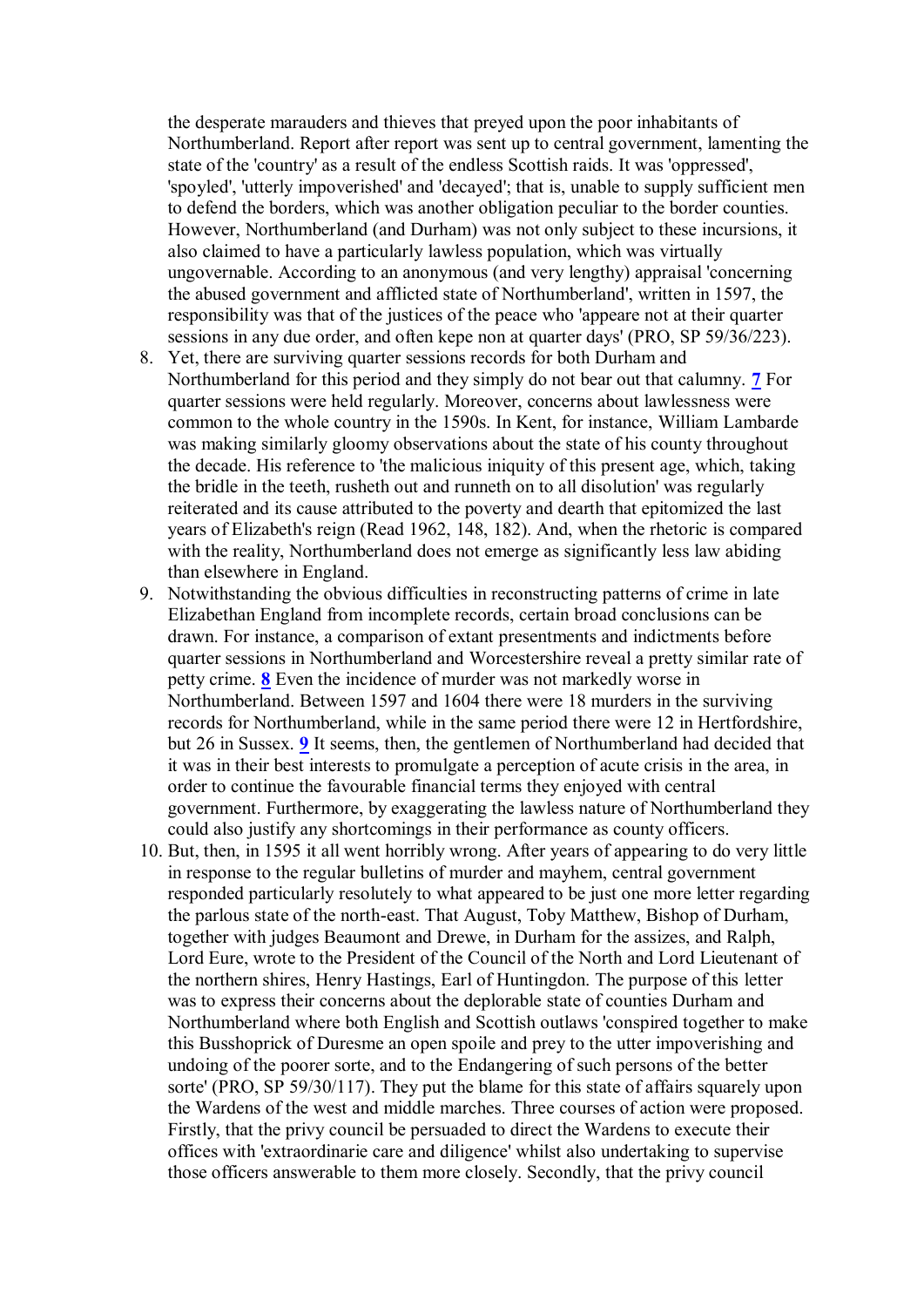the desperate marauders and thieves that preyed upon the poor inhabitants of Northumberland. Report after report was sent up to central government, lamenting the state of the 'country' as a result of the endless Scottish raids. It was 'oppressed', 'spoyled', 'utterly impoverished' and 'decayed'; that is, unable to supply sufficient men to defend the borders, which was another obligation peculiar to the border counties. However, Northumberland (and Durham) was not only subject to these incursions, it also claimed to have a particularly lawless population, which was virtually ungovernable. According to an anonymous (and very lengthy) appraisal 'concerning the abused government and afflicted state of Northumberland', written in 1597, the responsibility was that of the justices of the peace who 'appeare not at their quarter sessions in any due order, and often kepe non at quarter days' (PRO, SP 59/36/223).

- 8. Yet, there are surviving quarter sessions records for both Durham and Northumberland for this period and they simply do not bear out that calumny. **[7](http://www.hull.ac.uk/renforum/v7/newton.htm#n7)** For quarter sessions were held regularly. Moreover, concerns about lawlessness were common to the whole country in the 1590s. In Kent, for instance, William Lambarde was making similarly gloomy observations about the state of his county throughout the decade. His reference to 'the malicious iniquity of this present age, which, taking the bridle in the teeth, rusheth out and runneth on to all disolution' was regularly reiterated and its cause attributed to the poverty and dearth that epitomized the last years of Elizabeth's reign (Read 1962, 148, 182). And, when the rhetoric is compared with the reality, Northumberland does not emerge as significantly less law abiding than elsewhere in England.
- 9. Notwithstanding the obvious difficulties in reconstructing patterns of crime in late Elizabethan England from incomplete records, certain broad conclusions can be drawn. For instance, a comparison of extant presentments and indictments before quarter sessions in Northumberland and Worcestershire reveal a pretty similar rate of petty crime. **[8](http://www.hull.ac.uk/renforum/v7/newton.htm#n8)** Even the incidence of murder was not markedly worse in Northumberland. Between 1597 and 1604 there were 18 murders in the surviving records for Northumberland, while in the same period there were 12 in Hertfordshire, but 26 in Sussex. **[9](http://www.hull.ac.uk/renforum/v7/newton.htm#n9)** It seems, then, the gentlemen of Northumberland had decided that it was in their best interests to promulgate a perception of acute crisis in the area, in order to continue the favourable financial terms they enjoyed with central government. Furthermore, by exaggerating the lawless nature of Northumberland they could also justify any shortcomings in their performance as county officers.
- 10. But, then, in 1595 it all went horribly wrong. After years of appearing to do very little in response to the regular bulletins of murder and mayhem, central government responded particularly resolutely to what appeared to be just one more letter regarding the parlous state of the north-east. That August, Toby Matthew, Bishop of Durham, together with judges Beaumont and Drewe, in Durham for the assizes, and Ralph, Lord Eure, wrote to the President of the Council of the North and Lord Lieutenant of the northern shires, Henry Hastings, Earl of Huntingdon. The purpose of this letter was to express their concerns about the deplorable state of counties Durham and Northumberland where both English and Scottish outlaws 'conspired together to make this Busshoprick of Duresme an open spoile and prey to the utter impoverishing and undoing of the poorer sorte, and to the Endangering of such persons of the better sorte' (PRO, SP 59/30/117). They put the blame for this state of affairs squarely upon the Wardens of the west and middle marches. Three courses of action were proposed. Firstly, that the privy council be persuaded to direct the Wardens to execute their offices with 'extraordinarie care and diligence' whilst also undertaking to supervise those officers answerable to them more closely. Secondly, that the privy council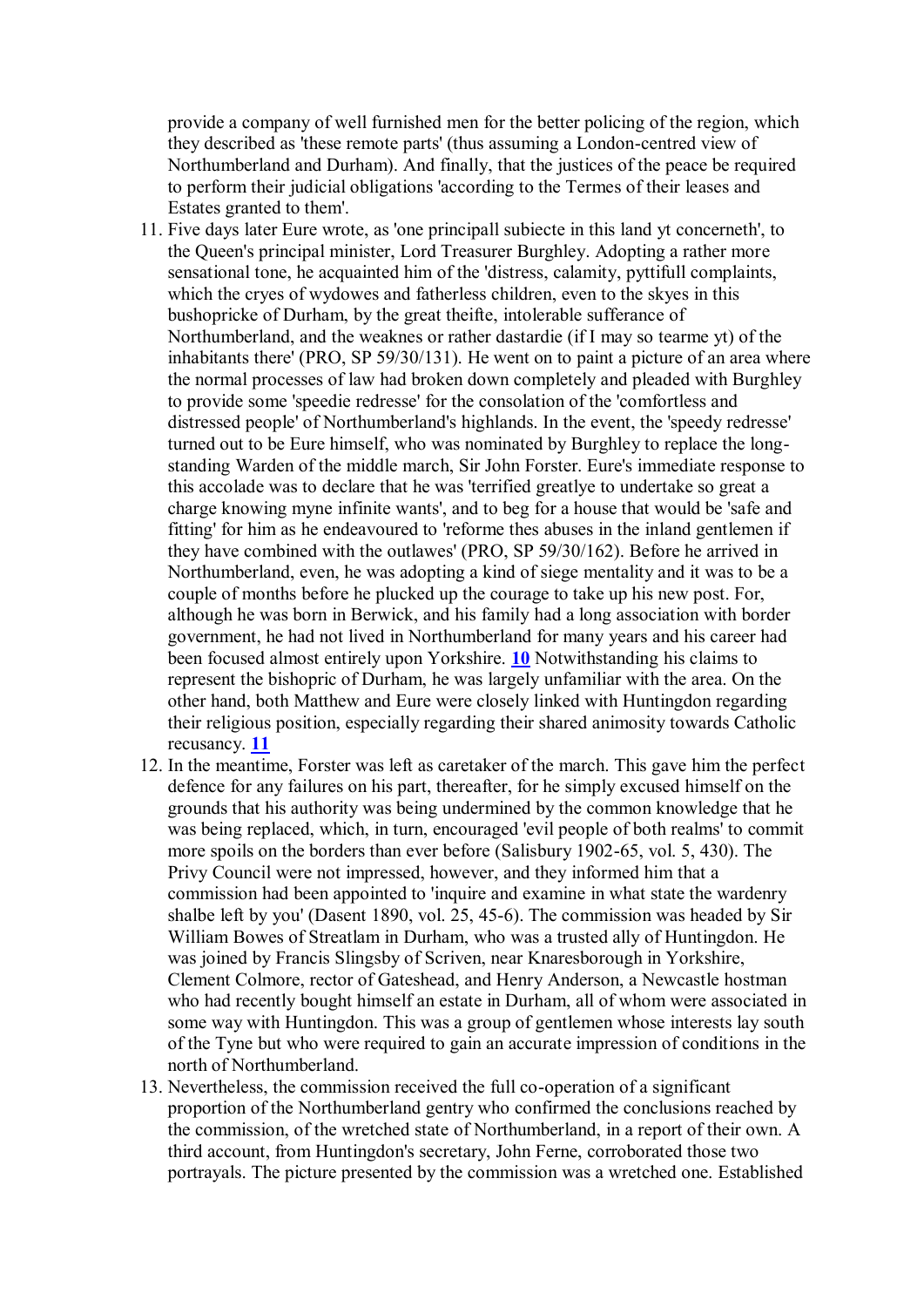provide a company of well furnished men for the better policing of the region, which they described as 'these remote parts' (thus assuming a London-centred view of Northumberland and Durham). And finally, that the justices of the peace be required to perform their judicial obligations 'according to the Termes of their leases and Estates granted to them'.

- 11. Five days later Eure wrote, as 'one principall subiecte in this land yt concerneth', to the Queen's principal minister, Lord Treasurer Burghley. Adopting a rather more sensational tone, he acquainted him of the 'distress, calamity, pyttifull complaints, which the cryes of wydowes and fatherless children, even to the skyes in this bushopricke of Durham, by the great theifte, intolerable sufferance of Northumberland, and the weaknes or rather dastardie (if I may so tearme yt) of the inhabitants there' (PRO, SP 59/30/131). He went on to paint a picture of an area where the normal processes of law had broken down completely and pleaded with Burghley to provide some 'speedie redresse' for the consolation of the 'comfortless and distressed people' of Northumberland's highlands. In the event, the 'speedy redresse' turned out to be Eure himself, who was nominated by Burghley to replace the longstanding Warden of the middle march, Sir John Forster. Eure's immediate response to this accolade was to declare that he was 'terrified greatlye to undertake so great a charge knowing myne infinite wants', and to beg for a house that would be 'safe and fitting' for him as he endeavoured to 'reforme thes abuses in the inland gentlemen if they have combined with the outlawes' (PRO, SP 59/30/162). Before he arrived in Northumberland, even, he was adopting a kind of siege mentality and it was to be a couple of months before he plucked up the courage to take up his new post. For, although he was born in Berwick, and his family had a long association with border government, he had not lived in Northumberland for many years and his career had been focused almost entirely upon Yorkshire. **[10](http://www.hull.ac.uk/renforum/v7/newton.htm#n10)** Notwithstanding his claims to represent the bishopric of Durham, he was largely unfamiliar with the area. On the other hand, both Matthew and Eure were closely linked with Huntingdon regarding their religious position, especially regarding their shared animosity towards Catholic recusancy. **[11](http://www.hull.ac.uk/renforum/v7/newton.htm#n11)**
- 12. In the meantime, Forster was left as caretaker of the march. This gave him the perfect defence for any failures on his part, thereafter, for he simply excused himself on the grounds that his authority was being undermined by the common knowledge that he was being replaced, which, in turn, encouraged 'evil people of both realms' to commit more spoils on the borders than ever before (Salisbury 1902-65, vol. 5, 430). The Privy Council were not impressed, however, and they informed him that a commission had been appointed to 'inquire and examine in what state the wardenry shalbe left by you' (Dasent 1890, vol. 25, 45-6). The commission was headed by Sir William Bowes of Streatlam in Durham, who was a trusted ally of Huntingdon. He was joined by Francis Slingsby of Scriven, near Knaresborough in Yorkshire, Clement Colmore, rector of Gateshead, and Henry Anderson, a Newcastle hostman who had recently bought himself an estate in Durham, all of whom were associated in some way with Huntingdon. This was a group of gentlemen whose interests lay south of the Tyne but who were required to gain an accurate impression of conditions in the north of Northumberland.
- 13. Nevertheless, the commission received the full co-operation of a significant proportion of the Northumberland gentry who confirmed the conclusions reached by the commission, of the wretched state of Northumberland, in a report of their own. A third account, from Huntingdon's secretary, John Ferne, corroborated those two portrayals. The picture presented by the commission was a wretched one. Established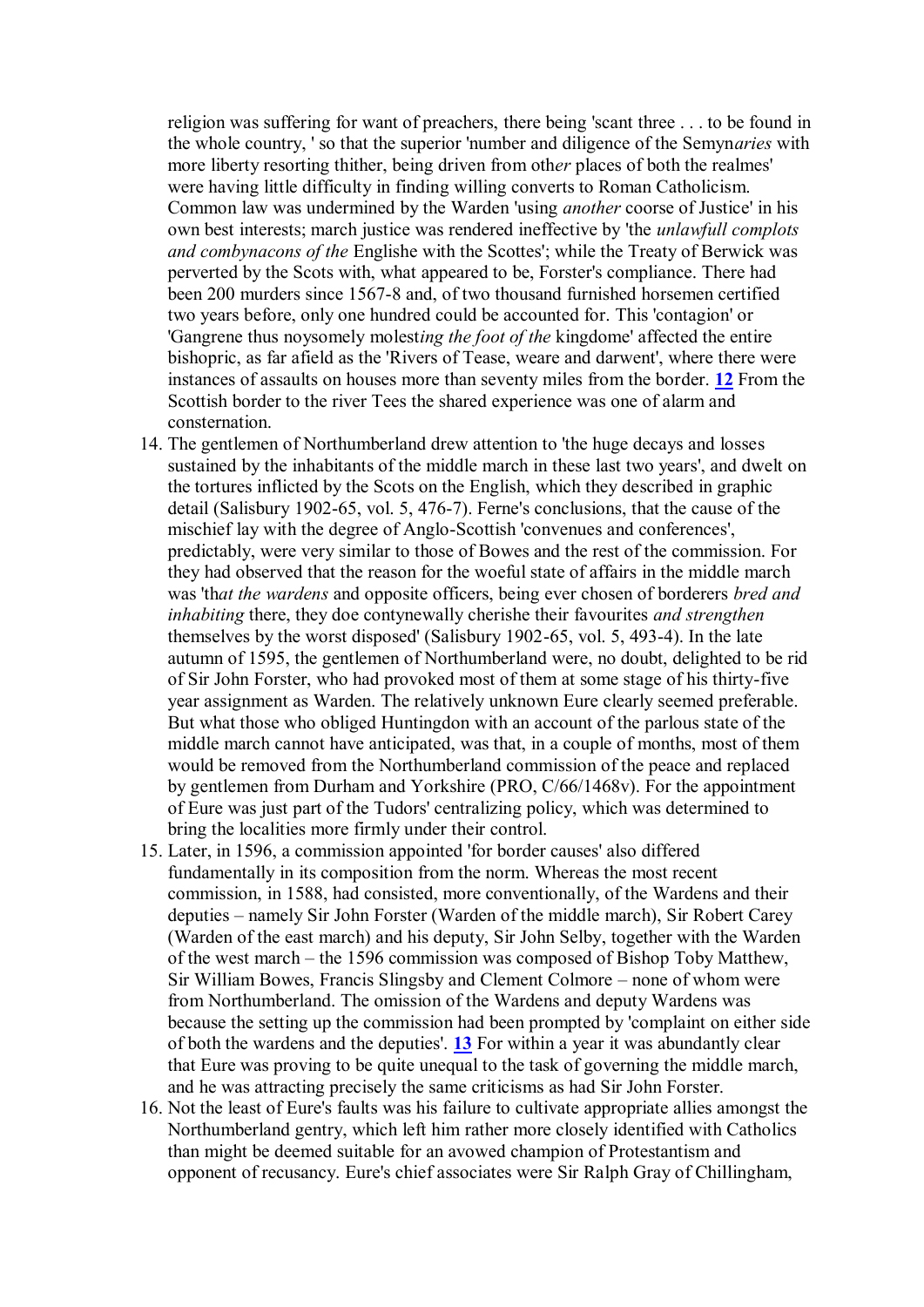religion was suffering for want of preachers, there being 'scant three . . . to be found in the whole country, ' so that the superior 'number and diligence of the Semyn*aries* with more liberty resorting thither, being driven from oth*er* places of both the realmes' were having little difficulty in finding willing converts to Roman Catholicism. Common law was undermined by the Warden 'using *another* coorse of Justice' in his own best interests; march justice was rendered ineffective by 'the *unlawfull complots and combynacons of the* Englishe with the Scottes'; while the Treaty of Berwick was perverted by the Scots with, what appeared to be, Forster's compliance. There had been 200 murders since 1567-8 and, of two thousand furnished horsemen certified two years before, only one hundred could be accounted for. This 'contagion' or 'Gangrene thus noysomely molest*ing the foot of the* kingdome' affected the entire bishopric, as far afield as the 'Rivers of Tease, weare and darwent', where there were instances of assaults on houses more than seventy miles from the border. **[12](http://www.hull.ac.uk/renforum/v7/newton.htm#n12)** From the Scottish border to the river Tees the shared experience was one of alarm and consternation.

- 14. The gentlemen of Northumberland drew attention to 'the huge decays and losses sustained by the inhabitants of the middle march in these last two years', and dwelt on the tortures inflicted by the Scots on the English, which they described in graphic detail (Salisbury 1902-65, vol. 5, 476-7). Ferne's conclusions, that the cause of the mischief lay with the degree of Anglo-Scottish 'convenues and conferences', predictably, were very similar to those of Bowes and the rest of the commission. For they had observed that the reason for the woeful state of affairs in the middle march was 'th*at the wardens* and opposite officers, being ever chosen of borderers *bred and inhabiting* there, they doe contynewally cherishe their favourites *and strengthen* themselves by the worst disposed' (Salisbury 1902-65, vol. 5, 493-4). In the late autumn of 1595, the gentlemen of Northumberland were, no doubt, delighted to be rid of Sir John Forster, who had provoked most of them at some stage of his thirty-five year assignment as Warden. The relatively unknown Eure clearly seemed preferable. But what those who obliged Huntingdon with an account of the parlous state of the middle march cannot have anticipated, was that, in a couple of months, most of them would be removed from the Northumberland commission of the peace and replaced by gentlemen from Durham and Yorkshire (PRO, C/66/1468v). For the appointment of Eure was just part of the Tudors' centralizing policy, which was determined to bring the localities more firmly under their control.
- 15. Later, in 1596, a commission appointed 'for border causes' also differed fundamentally in its composition from the norm. Whereas the most recent commission, in 1588, had consisted, more conventionally, of the Wardens and their deputies – namely Sir John Forster (Warden of the middle march), Sir Robert Carey (Warden of the east march) and his deputy, Sir John Selby, together with the Warden of the west march – the 1596 commission was composed of Bishop Toby Matthew, Sir William Bowes, Francis Slingsby and Clement Colmore – none of whom were from Northumberland. The omission of the Wardens and deputy Wardens was because the setting up the commission had been prompted by 'complaint on either side of both the wardens and the deputies'. **[13](http://www.hull.ac.uk/renforum/v7/newton.htm#n13)** For within a year it was abundantly clear that Eure was proving to be quite unequal to the task of governing the middle march, and he was attracting precisely the same criticisms as had Sir John Forster.
- 16. Not the least of Eure's faults was his failure to cultivate appropriate allies amongst the Northumberland gentry, which left him rather more closely identified with Catholics than might be deemed suitable for an avowed champion of Protestantism and opponent of recusancy. Eure's chief associates were Sir Ralph Gray of Chillingham,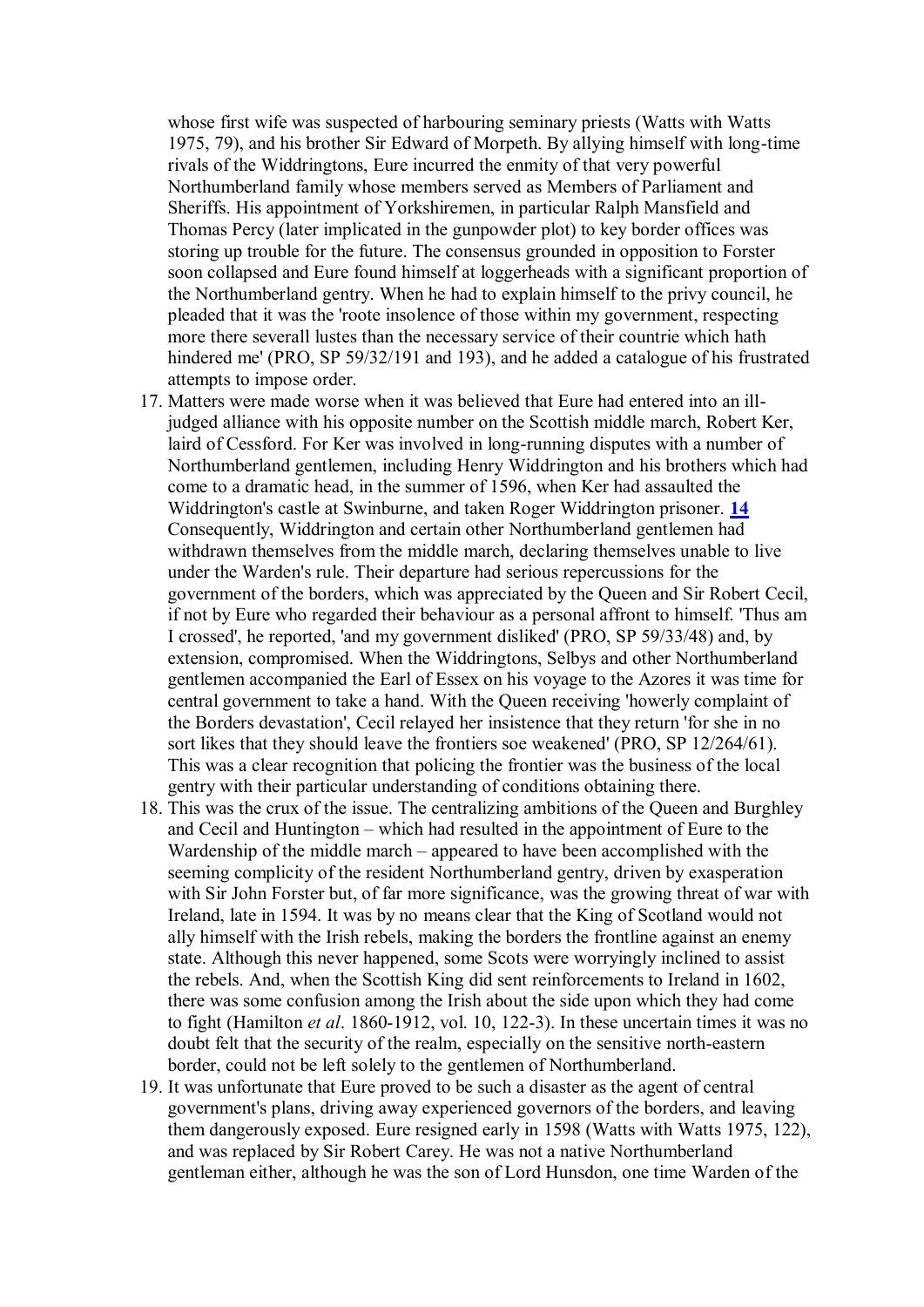whose first wife was suspected of harbouring seminary priests (Watts with Watts 1975, 79), and his brother Sir Edward of Morpeth. By allying himself with long-time rivals of the Widdringtons, Eure incurred the enmity of that very powerful Northumberland family whose members served as Members of Parliament and Sheriffs. His appointment of Yorkshiremen, in particular Ralph Mansfield and Thomas Percy (later implicated in the gunpowder plot) to key border offices was storing up trouble for the future. The consensus grounded in opposition to Forster soon collapsed and Eure found himself at loggerheads with a significant proportion of the Northumberland gentry. When he had to explain himself to the privy council, he pleaded that it was the 'roote insolence of those within my government, respecting more there severall lustes than the necessary service of their countrie which hath hindered me' (PRO, SP 59/32/191 and 193), and he added a catalogue of his frustrated attempts to impose order.

- 17. Matters were made worse when it was believed that Eure had entered into an illjudged alliance with his opposite number on the Scottish middle march, Robert Ker, laird of Cessford. For Ker was involved in long-running disputes with a number of Northumberland gentlemen, including Henry Widdrington and his brothers which had come to a dramatic head, in the summer of 1596, when Ker had assaulted the Widdrington's castle at Swinburne, and taken Roger Widdrington prisoner. **[14](http://www.hull.ac.uk/renforum/v7/newton.htm#n14)** Consequently, Widdrington and certain other Northumberland gentlemen had withdrawn themselves from the middle march, declaring themselves unable to live under the Warden's rule. Their departure had serious repercussions for the government of the borders, which was appreciated by the Queen and Sir Robert Cecil, if not by Eure who regarded their behaviour as a personal affront to himself. 'Thus am I crossed', he reported, 'and my government disliked' (PRO, SP 59/33/48) and, by extension, compromised. When the Widdringtons, Selbys and other Northumberland gentlemen accompanied the Earl of Essex on his voyage to the Azores it was time for central government to take a hand. With the Queen receiving 'howerly complaint of the Borders devastation', Cecil relayed her insistence that they return 'for she in no sort likes that they should leave the frontiers soe weakened' (PRO, SP 12/264/61). This was a clear recognition that policing the frontier was the business of the local gentry with their particular understanding of conditions obtaining there.
- 18. This was the crux of the issue. The centralizing ambitions of the Queen and Burghley and Cecil and Huntington – which had resulted in the appointment of Eure to the Wardenship of the middle march – appeared to have been accomplished with the seeming complicity of the resident Northumberland gentry, driven by exasperation with Sir John Forster but, of far more significance, was the growing threat of war with Ireland, late in 1594. It was by no means clear that the King of Scotland would not ally himself with the Irish rebels, making the borders the frontline against an enemy state. Although this never happened, some Scots were worryingly inclined to assist the rebels. And, when the Scottish King did sent reinforcements to Ireland in 1602, there was some confusion among the Irish about the side upon which they had come to fight (Hamilton *et al*. 1860-1912, vol. 10, 122-3). In these uncertain times it was no doubt felt that the security of the realm, especially on the sensitive north-eastern border, could not be left solely to the gentlemen of Northumberland.
- 19. It was unfortunate that Eure proved to be such a disaster as the agent of central government's plans, driving away experienced governors of the borders, and leaving them dangerously exposed. Eure resigned early in 1598 (Watts with Watts 1975, 122), and was replaced by Sir Robert Carey. He was not a native Northumberland gentleman either, although he was the son of Lord Hunsdon, one time Warden of the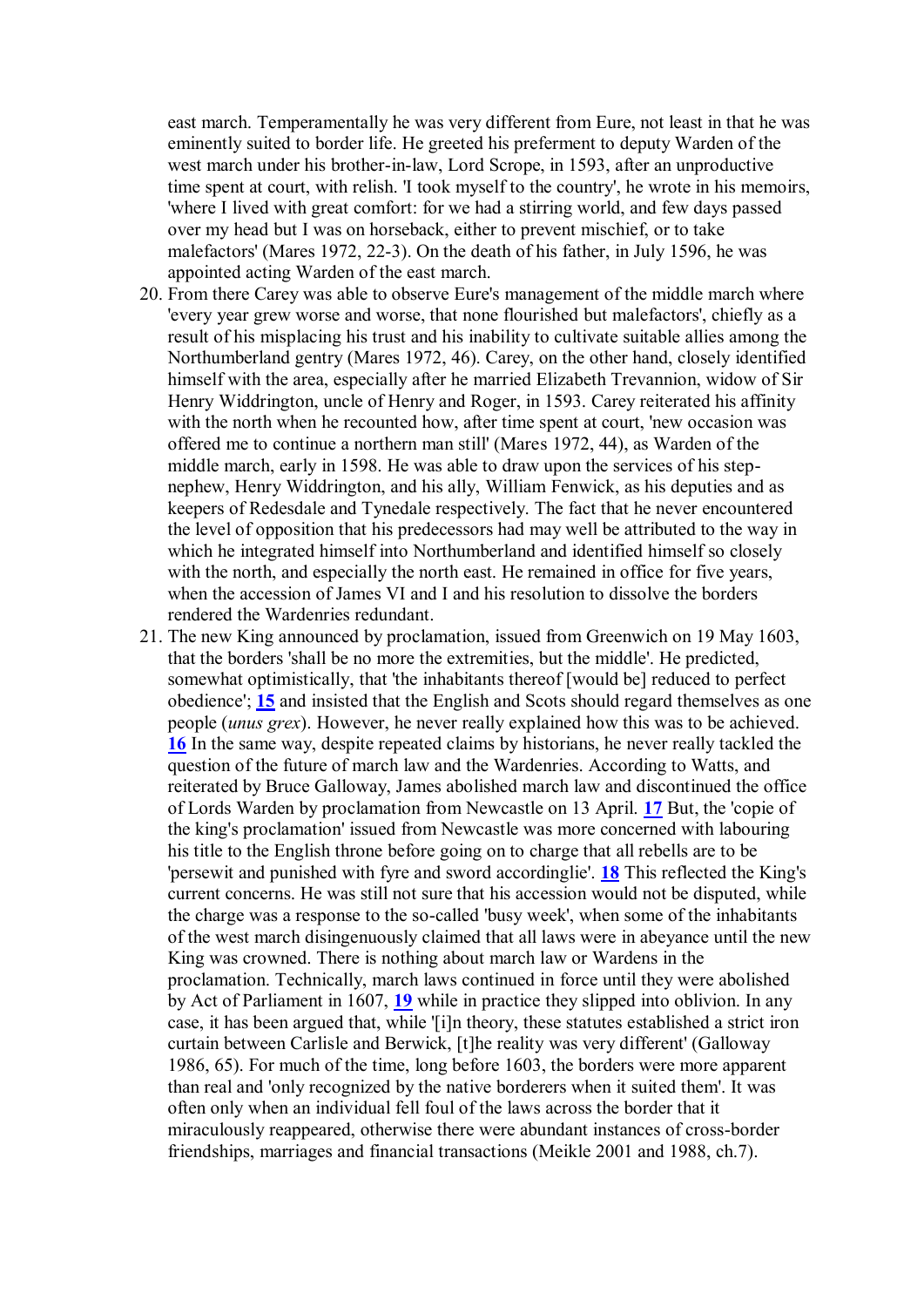east march. Temperamentally he was very different from Eure, not least in that he was eminently suited to border life. He greeted his preferment to deputy Warden of the west march under his brother-in-law, Lord Scrope, in 1593, after an unproductive time spent at court, with relish. 'I took myself to the country', he wrote in his memoirs, 'where I lived with great comfort: for we had a stirring world, and few days passed over my head but I was on horseback, either to prevent mischief, or to take malefactors' (Mares 1972, 22-3). On the death of his father, in July 1596, he was appointed acting Warden of the east march.

- 20. From there Carey was able to observe Eure's management of the middle march where 'every year grew worse and worse, that none flourished but malefactors', chiefly as a result of his misplacing his trust and his inability to cultivate suitable allies among the Northumberland gentry (Mares 1972, 46). Carey, on the other hand, closely identified himself with the area, especially after he married Elizabeth Trevannion, widow of Sir Henry Widdrington, uncle of Henry and Roger, in 1593. Carey reiterated his affinity with the north when he recounted how, after time spent at court, 'new occasion was offered me to continue a northern man still' (Mares 1972, 44), as Warden of the middle march, early in 1598. He was able to draw upon the services of his stepnephew, Henry Widdrington, and his ally, William Fenwick, as his deputies and as keepers of Redesdale and Tynedale respectively. The fact that he never encountered the level of opposition that his predecessors had may well be attributed to the way in which he integrated himself into Northumberland and identified himself so closely with the north, and especially the north east. He remained in office for five years, when the accession of James VI and I and his resolution to dissolve the borders rendered the Wardenries redundant.
- 21. The new King announced by proclamation, issued from Greenwich on 19 May 1603, that the borders 'shall be no more the extremities, but the middle'. He predicted, somewhat optimistically, that 'the inhabitants thereof [would be] reduced to perfect obedience'; **[15](http://www.hull.ac.uk/renforum/v7/newton.htm#n15)** and insisted that the English and Scots should regard themselves as one people (*unus grex*). However, he never really explained how this was to be achieved. **[16](http://www.hull.ac.uk/renforum/v7/newton.htm#n16)** In the same way, despite repeated claims by historians, he never really tackled the question of the future of march law and the Wardenries. According to Watts, and reiterated by Bruce Galloway, James abolished march law and discontinued the office of Lords Warden by proclamation from Newcastle on 13 April. **[17](http://www.hull.ac.uk/renforum/v7/newton.htm#n17)** But, the 'copie of the king's proclamation' issued from Newcastle was more concerned with labouring his title to the English throne before going on to charge that all rebells are to be 'persewit and punished with fyre and sword accordinglie'. **[18](http://www.hull.ac.uk/renforum/v7/newton.htm#n18)** This reflected the King's current concerns. He was still not sure that his accession would not be disputed, while the charge was a response to the so-called 'busy week', when some of the inhabitants of the west march disingenuously claimed that all laws were in abeyance until the new King was crowned. There is nothing about march law or Wardens in the proclamation. Technically, march laws continued in force until they were abolished by Act of Parliament in 1607, **[19](http://www.hull.ac.uk/renforum/v7/newton.htm#n19)** while in practice they slipped into oblivion. In any case, it has been argued that, while '[i]n theory, these statutes established a strict iron curtain between Carlisle and Berwick, [t]he reality was very different' (Galloway 1986, 65). For much of the time, long before 1603, the borders were more apparent than real and 'only recognized by the native borderers when it suited them'. It was often only when an individual fell foul of the laws across the border that it miraculously reappeared, otherwise there were abundant instances of cross-border friendships, marriages and financial transactions (Meikle 2001 and 1988, ch.7).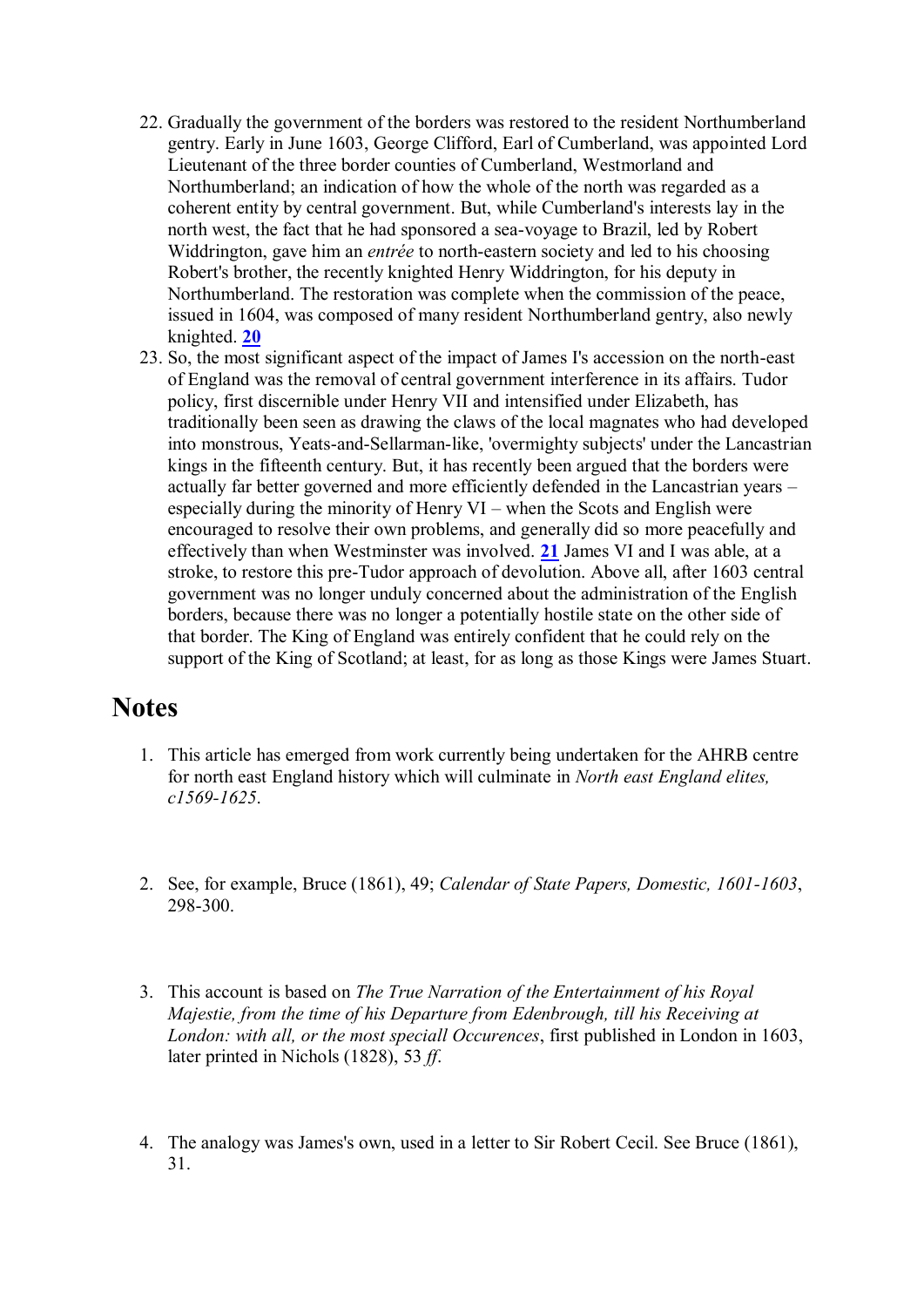- 22. Gradually the government of the borders was restored to the resident Northumberland gentry. Early in June 1603, George Clifford, Earl of Cumberland, was appointed Lord Lieutenant of the three border counties of Cumberland, Westmorland and Northumberland; an indication of how the whole of the north was regarded as a coherent entity by central government. But, while Cumberland's interests lay in the north west, the fact that he had sponsored a sea-voyage to Brazil, led by Robert Widdrington, gave him an *entrée* to north-eastern society and led to his choosing Robert's brother, the recently knighted Henry Widdrington, for his deputy in Northumberland. The restoration was complete when the commission of the peace, issued in 1604, was composed of many resident Northumberland gentry, also newly knighted. **[20](http://www.hull.ac.uk/renforum/v7/newton.htm#n20)**
- 23. So, the most significant aspect of the impact of James I's accession on the north-east of England was the removal of central government interference in its affairs. Tudor policy, first discernible under Henry VII and intensified under Elizabeth, has traditionally been seen as drawing the claws of the local magnates who had developed into monstrous, Yeats-and-Sellarman-like, 'overmighty subjects' under the Lancastrian kings in the fifteenth century. But, it has recently been argued that the borders were actually far better governed and more efficiently defended in the Lancastrian years – especially during the minority of Henry VI – when the Scots and English were encouraged to resolve their own problems, and generally did so more peacefully and effectively than when Westminster was involved. **[21](http://www.hull.ac.uk/renforum/v7/newton.htm#n21)** James VI and I was able, at a stroke, to restore this pre-Tudor approach of devolution. Above all, after 1603 central government was no longer unduly concerned about the administration of the English borders, because there was no longer a potentially hostile state on the other side of that border. The King of England was entirely confident that he could rely on the support of the King of Scotland; at least, for as long as those Kings were James Stuart.

### **Notes**

- 1. This article has emerged from work currently being undertaken for the AHRB centre for north east England history which will culminate in *North east England elites, c1569-1625*.
- 2. See, for example, Bruce (1861), 49; *Calendar of State Papers, Domestic, 1601-1603*, 298-300.
- 3. This account is based on *The True Narration of the Entertainment of his Royal Majestie, from the time of his Departure from Edenbrough, till his Receiving at London: with all, or the most speciall Occurences*, first published in London in 1603, later printed in Nichols (1828), 53 *ff*.
- 4. The analogy was James's own, used in a letter to Sir Robert Cecil. See Bruce (1861), 31.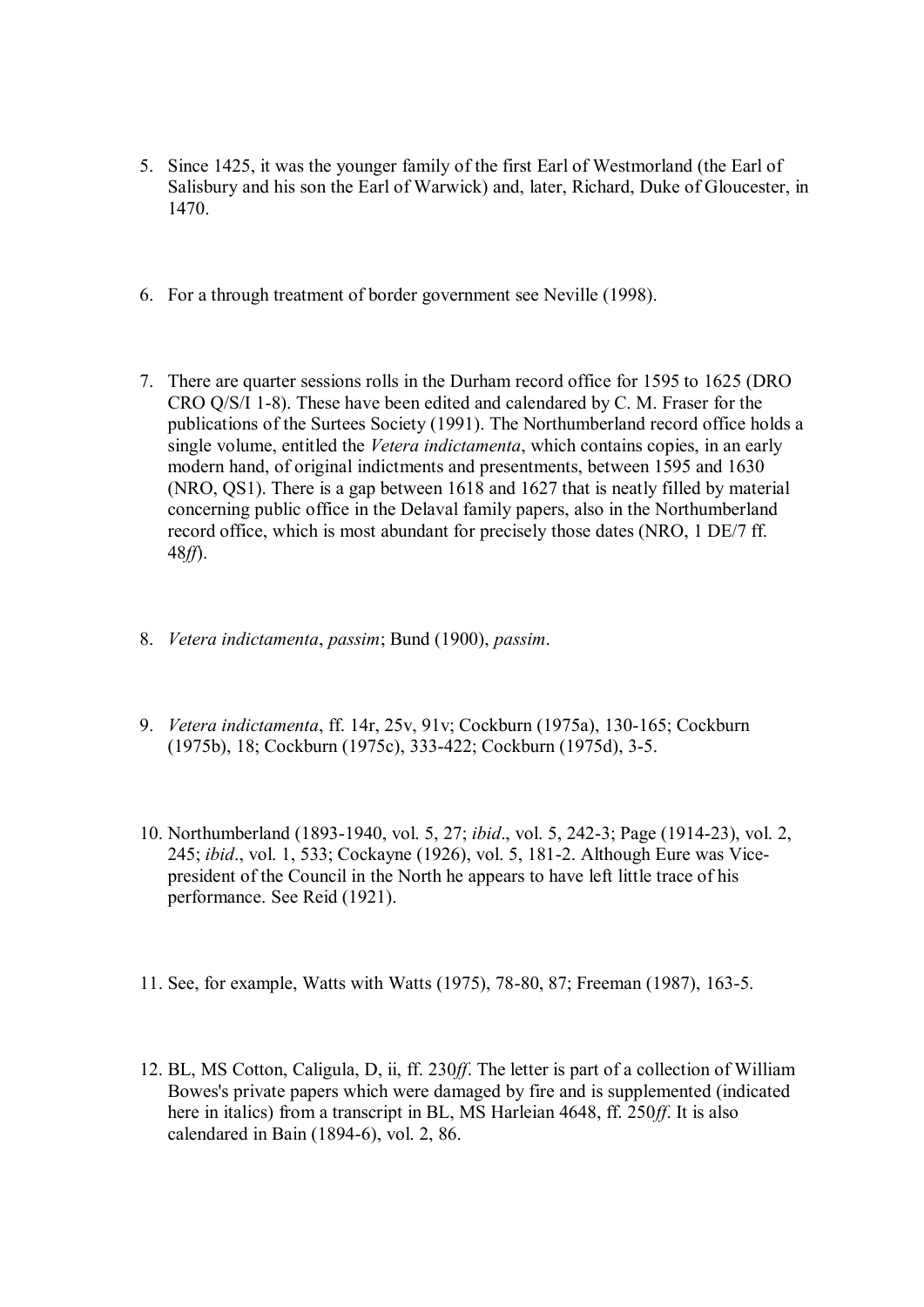- 5. Since 1425, it was the younger family of the first Earl of Westmorland (the Earl of Salisbury and his son the Earl of Warwick) and, later, Richard, Duke of Gloucester, in 1470.
- 6. For a through treatment of border government see Neville (1998).
- 7. There are quarter sessions rolls in the Durham record office for 1595 to 1625 (DRO CRO Q/S/I 1-8). These have been edited and calendared by C. M. Fraser for the publications of the Surtees Society (1991). The Northumberland record office holds a single volume, entitled the *Vetera indictamenta*, which contains copies, in an early modern hand, of original indictments and presentments, between 1595 and 1630 (NRO, QS1). There is a gap between 1618 and 1627 that is neatly filled by material concerning public office in the Delaval family papers, also in the Northumberland record office, which is most abundant for precisely those dates (NRO, 1 DE/7 ff. 48*ff*).
- 8. *Vetera indictamenta*, *passim*; Bund (1900), *passim*.
- 9. *Vetera indictamenta*, ff. 14r, 25v, 91v; Cockburn (1975a), 130-165; Cockburn (1975b), 18; Cockburn (1975c), 333-422; Cockburn (1975d), 3-5.
- 10. Northumberland (1893-1940, vol. 5, 27; *ibid*., vol. 5, 242-3; Page (1914-23), vol. 2, 245; *ibid*., vol. 1, 533; Cockayne (1926), vol. 5, 181-2. Although Eure was Vicepresident of the Council in the North he appears to have left little trace of his performance. See Reid (1921).
- 11. See, for example, Watts with Watts (1975), 78-80, 87; Freeman (1987), 163-5.
- 12. BL, MS Cotton, Caligula, D, ii, ff. 230*ff*. The letter is part of a collection of William Bowes's private papers which were damaged by fire and is supplemented (indicated here in italics) from a transcript in BL, MS Harleian 4648, ff. 250*ff*. It is also calendared in Bain (1894-6), vol. 2, 86.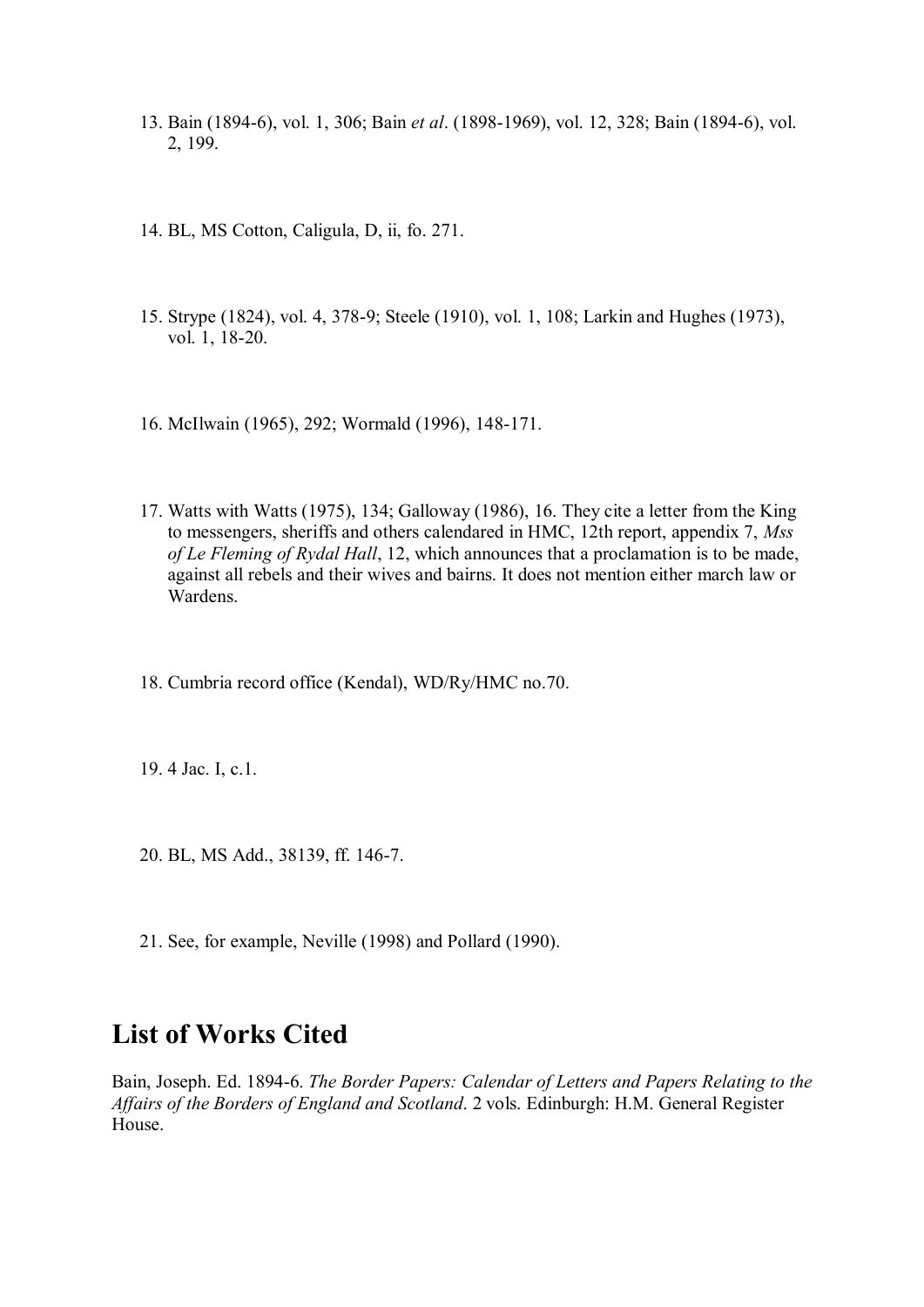- 13. Bain (1894-6), vol. 1, 306; Bain *et al*. (1898-1969), vol. 12, 328; Bain (1894-6), vol. 2, 199.
- 14. BL, MS Cotton, Caligula, D, ii, fo. 271.
- 15. Strype (1824), vol. 4, 378-9; Steele (1910), vol. 1, 108; Larkin and Hughes (1973), vol. 1, 18-20.
- 16. McIlwain (1965), 292; Wormald (1996), 148-171.
- 17. Watts with Watts (1975), 134; Galloway (1986), 16. They cite a letter from the King to messengers, sheriffs and others calendared in HMC, 12th report, appendix 7, *Mss of Le Fleming of Rydal Hall*, 12, which announces that a proclamation is to be made, against all rebels and their wives and bairns. It does not mention either march law or Wardens.
- 18. Cumbria record office (Kendal), WD/Ry/HMC no.70.
- 19. 4 Jac. I, c.1.
- 20. BL, MS Add., 38139, ff. 146-7.
- 21. See, for example, Neville (1998) and Pollard (1990).

## **List of Works Cited**

Bain, Joseph. Ed. 1894-6. *The Border Papers: Calendar of Letters and Papers Relating to the Affairs of the Borders of England and Scotland*. 2 vols. Edinburgh: H.M. General Register House.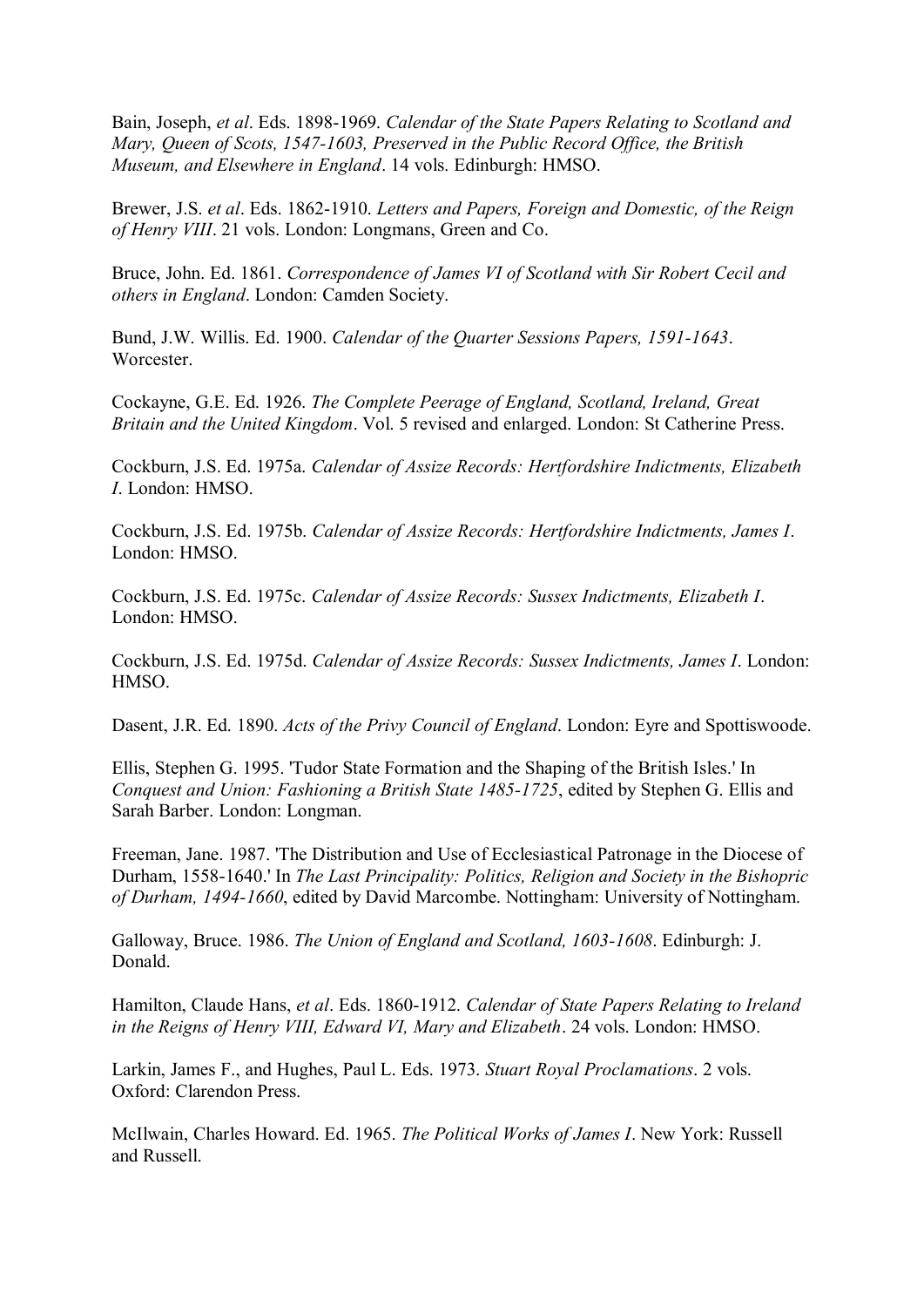Bain, Joseph, *et al*. Eds. 1898-1969. *Calendar of the State Papers Relating to Scotland and Mary, Queen of Scots, 1547-1603, Preserved in the Public Record Office, the British Museum, and Elsewhere in England*. 14 vols. Edinburgh: HMSO.

Brewer, J.S. *et al*. Eds. 1862-1910. *Letters and Papers, Foreign and Domestic, of the Reign of Henry VIII*. 21 vols. London: Longmans, Green and Co.

Bruce, John. Ed. 1861. *Correspondence of James VI of Scotland with Sir Robert Cecil and others in England*. London: Camden Society.

Bund, J.W. Willis. Ed. 1900. *Calendar of the Quarter Sessions Papers, 1591-1643*. Worcester.

Cockayne, G.E. Ed. 1926. *The Complete Peerage of England, Scotland, Ireland, Great Britain and the United Kingdom*. Vol. 5 revised and enlarged. London: St Catherine Press.

Cockburn, J.S. Ed. 1975a. *Calendar of Assize Records: Hertfordshire Indictments, Elizabeth I*. London: HMSO.

Cockburn, J.S. Ed. 1975b. *Calendar of Assize Records: Hertfordshire Indictments, James I*. London: HMSO.

Cockburn, J.S. Ed. 1975c. *Calendar of Assize Records: Sussex Indictments, Elizabeth I*. London: HMSO.

Cockburn, J.S. Ed. 1975d. *Calendar of Assize Records: Sussex Indictments, James I*. London: HMSO.

Dasent, J.R. Ed. 1890. *Acts of the Privy Council of England*. London: Eyre and Spottiswoode.

Ellis, Stephen G. 1995. 'Tudor State Formation and the Shaping of the British Isles.' In *Conquest and Union: Fashioning a British State 1485-1725*, edited by Stephen G. Ellis and Sarah Barber. London: Longman.

Freeman, Jane. 1987. 'The Distribution and Use of Ecclesiastical Patronage in the Diocese of Durham, 1558-1640.' In *The Last Principality: Politics, Religion and Society in the Bishopric of Durham, 1494-1660*, edited by David Marcombe. Nottingham: University of Nottingham.

Galloway, Bruce. 1986. *The Union of England and Scotland, 1603-1608*. Edinburgh: J. Donald.

Hamilton, Claude Hans, *et al*. Eds. 1860-1912. *Calendar of State Papers Relating to Ireland in the Reigns of Henry VIII, Edward VI, Mary and Elizabeth*. 24 vols. London: HMSO.

Larkin, James F., and Hughes, Paul L. Eds. 1973. *Stuart Royal Proclamations*. 2 vols. Oxford: Clarendon Press.

McIlwain, Charles Howard. Ed. 1965. *The Political Works of James I*. New York: Russell and Russell.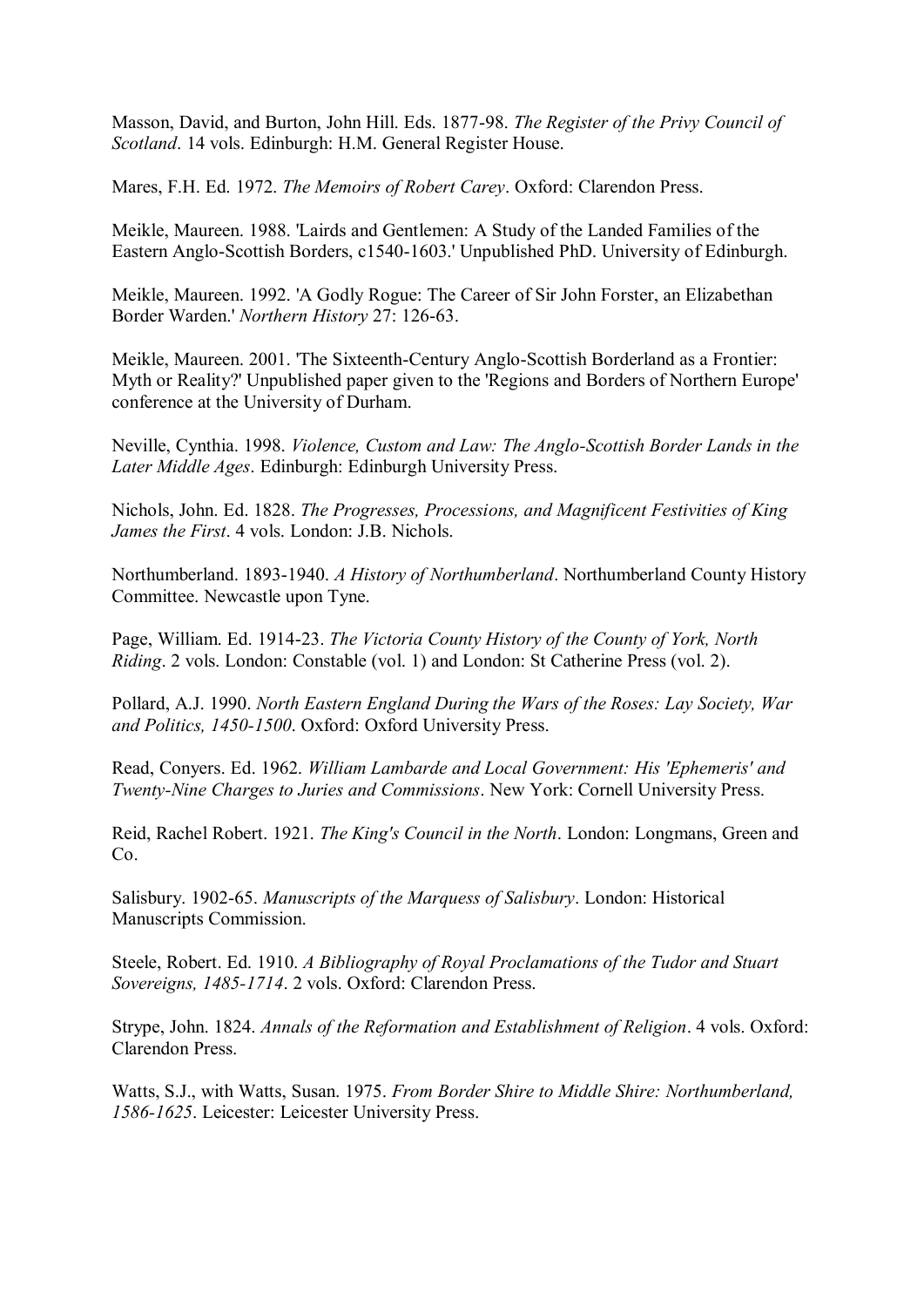Masson, David, and Burton, John Hill. Eds. 1877-98. *The Register of the Privy Council of Scotland*. 14 vols. Edinburgh: H.M. General Register House.

Mares, F.H. Ed. 1972. *The Memoirs of Robert Carey*. Oxford: Clarendon Press.

Meikle, Maureen. 1988. 'Lairds and Gentlemen: A Study of the Landed Families of the Eastern Anglo-Scottish Borders, c1540-1603.' Unpublished PhD. University of Edinburgh.

Meikle, Maureen. 1992. 'A Godly Rogue: The Career of Sir John Forster, an Elizabethan Border Warden.' *Northern History* 27: 126-63.

Meikle, Maureen. 2001. 'The Sixteenth-Century Anglo-Scottish Borderland as a Frontier: Myth or Reality?' Unpublished paper given to the 'Regions and Borders of Northern Europe' conference at the University of Durham.

Neville, Cynthia. 1998. *Violence, Custom and Law: The Anglo-Scottish Border Lands in the Later Middle Ages*. Edinburgh: Edinburgh University Press.

Nichols, John. Ed. 1828. *The Progresses, Processions, and Magnificent Festivities of King James the First*. 4 vols. London: J.B. Nichols.

Northumberland. 1893-1940. *A History of Northumberland*. Northumberland County History Committee. Newcastle upon Tyne.

Page, William. Ed. 1914-23. *The Victoria County History of the County of York, North Riding*. 2 vols. London: Constable (vol. 1) and London: St Catherine Press (vol. 2).

Pollard, A.J. 1990. *North Eastern England During the Wars of the Roses: Lay Society, War and Politics, 1450-1500*. Oxford: Oxford University Press.

Read, Conyers. Ed. 1962. *William Lambarde and Local Government: His 'Ephemeris' and Twenty-Nine Charges to Juries and Commissions*. New York: Cornell University Press.

Reid, Rachel Robert. 1921. *The King's Council in the North*. London: Longmans, Green and C<sub>o</sub>

Salisbury. 1902-65. *Manuscripts of the Marquess of Salisbury*. London: Historical Manuscripts Commission.

Steele, Robert. Ed. 1910. *A Bibliography of Royal Proclamations of the Tudor and Stuart Sovereigns, 1485-1714*. 2 vols. Oxford: Clarendon Press.

Strype, John. 1824. *Annals of the Reformation and Establishment of Religion*. 4 vols. Oxford: Clarendon Press.

Watts, S.J., with Watts, Susan. 1975. *From Border Shire to Middle Shire: Northumberland, 1586-1625*. Leicester: Leicester University Press.